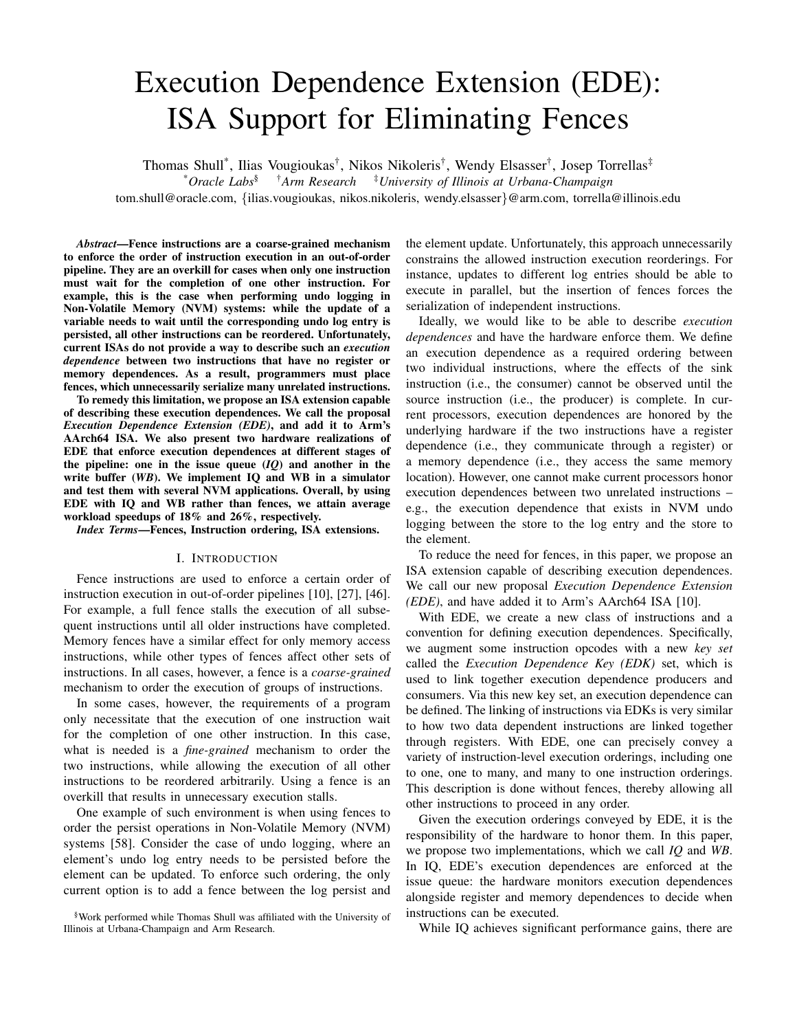# Execution Dependence Extension (EDE): ISA Support for Eliminating Fences

Thomas Shull<sup>\*</sup>, Ilias Vougioukas<sup>†</sup>, Nikos Nikoleris<sup>†</sup>, Wendy Elsasser<sup>†</sup>, Josep Torrellas<sup>‡</sup> \**Oracle Labs*§ †*Arm Research* ‡*University of Illinois at Urbana-Champaign* tom.shull@oracle.com, {ilias.vougioukas, nikos.nikoleris, wendy.elsasser}@arm.com, torrella@illinois.edu

*Abstract*—Fence instructions are a coarse-grained mechanism to enforce the order of instruction execution in an out-of-order pipeline. They are an overkill for cases when only one instruction must wait for the completion of one other instruction. For example, this is the case when performing undo logging in Non-Volatile Memory (NVM) systems: while the update of a variable needs to wait until the corresponding undo log entry is persisted, all other instructions can be reordered. Unfortunately, current ISAs do not provide a way to describe such an *execution dependence* between two instructions that have no register or memory dependences. As a result, programmers must place fences, which unnecessarily serialize many unrelated instructions.

To remedy this limitation, we propose an ISA extension capable of describing these execution dependences. We call the proposal *Execution Dependence Extension (EDE)*, and add it to Arm's AArch64 ISA. We also present two hardware realizations of EDE that enforce execution dependences at different stages of the pipeline: one in the issue queue  $(IQ)$  and another in the write buffer (*WB*). We implement IQ and WB in a simulator and test them with several NVM applications. Overall, by using EDE with IQ and WB rather than fences, we attain average workload speedups of 18% and 26%, respectively.

*Index Terms*—Fences, Instruction ordering, ISA extensions.

## I. INTRODUCTION

Fence instructions are used to enforce a certain order of instruction execution in out-of-order pipelines [10], [27], [46]. For example, a full fence stalls the execution of all subsequent instructions until all older instructions have completed. Memory fences have a similar effect for only memory access instructions, while other types of fences affect other sets of instructions. In all cases, however, a fence is a *coarse-grained* mechanism to order the execution of groups of instructions.

In some cases, however, the requirements of a program only necessitate that the execution of one instruction wait for the completion of one other instruction. In this case, what is needed is a *fine-grained* mechanism to order the two instructions, while allowing the execution of all other instructions to be reordered arbitrarily. Using a fence is an overkill that results in unnecessary execution stalls.

One example of such environment is when using fences to order the persist operations in Non-Volatile Memory (NVM) systems [58]. Consider the case of undo logging, where an element's undo log entry needs to be persisted before the element can be updated. To enforce such ordering, the only current option is to add a fence between the log persist and

§Work performed while Thomas Shull was affiliated with the University of Illinois at Urbana-Champaign and Arm Research.

the element update. Unfortunately, this approach unnecessarily constrains the allowed instruction execution reorderings. For instance, updates to different log entries should be able to execute in parallel, but the insertion of fences forces the serialization of independent instructions.

Ideally, we would like to be able to describe *execution dependences* and have the hardware enforce them. We define an execution dependence as a required ordering between two individual instructions, where the effects of the sink instruction (i.e., the consumer) cannot be observed until the source instruction (i.e., the producer) is complete. In current processors, execution dependences are honored by the underlying hardware if the two instructions have a register dependence (i.e., they communicate through a register) or a memory dependence (i.e., they access the same memory location). However, one cannot make current processors honor execution dependences between two unrelated instructions – e.g., the execution dependence that exists in NVM undo logging between the store to the log entry and the store to the element.

To reduce the need for fences, in this paper, we propose an ISA extension capable of describing execution dependences. We call our new proposal *Execution Dependence Extension (EDE)*, and have added it to Arm's AArch64 ISA [10].

With EDE, we create a new class of instructions and a convention for defining execution dependences. Specifically, we augment some instruction opcodes with a new *key set* called the *Execution Dependence Key (EDK)* set, which is used to link together execution dependence producers and consumers. Via this new key set, an execution dependence can be defined. The linking of instructions via EDKs is very similar to how two data dependent instructions are linked together through registers. With EDE, one can precisely convey a variety of instruction-level execution orderings, including one to one, one to many, and many to one instruction orderings. This description is done without fences, thereby allowing all other instructions to proceed in any order.

Given the execution orderings conveyed by EDE, it is the responsibility of the hardware to honor them. In this paper, we propose two implementations, which we call *IQ* and *WB*. In IQ, EDE's execution dependences are enforced at the issue queue: the hardware monitors execution dependences alongside register and memory dependences to decide when instructions can be executed.

While IQ achieves significant performance gains, there are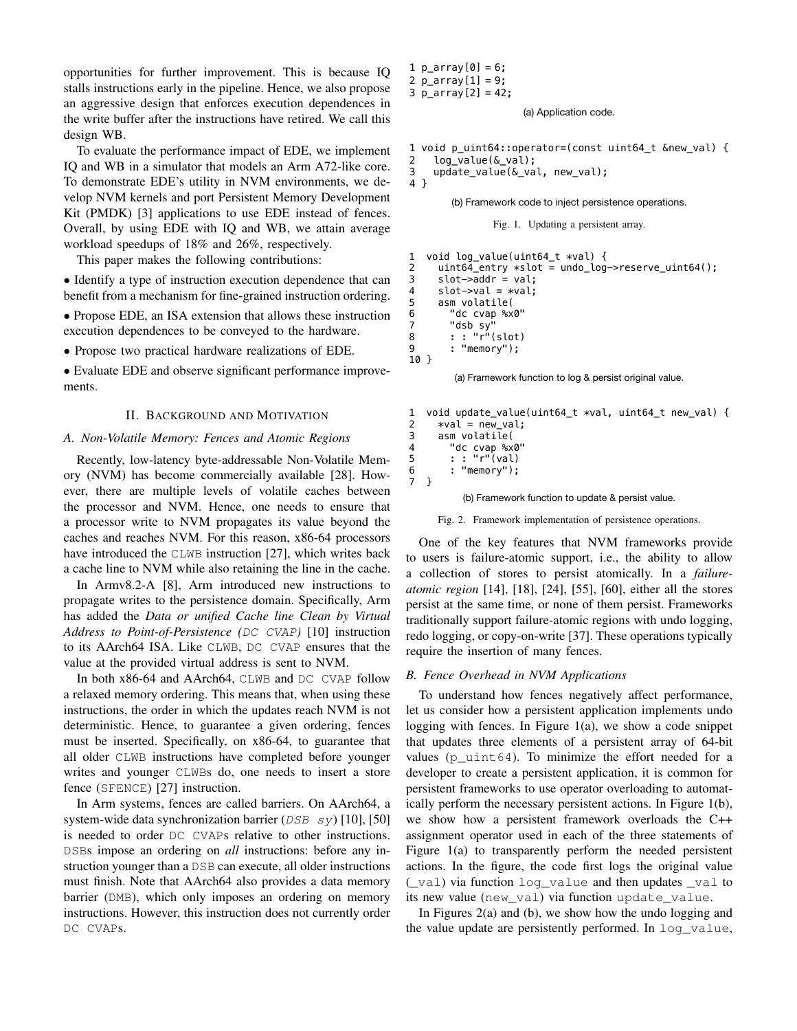opportunities for further improvement. This is because IQ stalls instructions early in the pipeline. Hence, we also propose an aggressive design that enforces execution dependences in the write buffer after the instructions have retired. We call this design WB.

To evaluate the performance impact of EDE, we implement IQ and WB in a simulator that models an Arm A72-like core. To demonstrate EDE's utility in NVM environments, we develop NVM kernels and port Persistent Memory Development Kit (PMDK) [3] applications to use EDE instead of fences. Overall, by using EDE with IQ and WB, we attain average workload speedups of 18% and 26%, respectively.

This paper makes the following contributions:

• Identify a type of instruction execution dependence that can benefit from a mechanism for fine-grained instruction ordering.

• Propose EDE, an ISA extension that allows these instruction execution dependences to be conveyed to the hardware.

• Propose two practical hardware realizations of EDE.

• Evaluate EDE and observe significant performance improvements.

## II. BACKGROUND AND MOTIVATION

#### *A. Non-Volatile Memory: Fences and Atomic Regions*

Recently, low-latency byte-addressable Non-Volatile Memory (NVM) has become commercially available [28]. However, there are multiple levels of volatile caches between the processor and NVM. Hence, one needs to ensure that a processor write to NVM propagates its value beyond the caches and reaches NVM. For this reason, x86-64 processors have introduced the CLWB instruction [27], which writes back a cache line to NVM while also retaining the line in the cache.

In Armv8.2-A [8], Arm introduced new instructions to propagate writes to the persistence domain. Specifically, Arm has added the *Data or unified Cache line Clean by Virtual Address to Point-of-Persistence (*DC CVAP*)* [10] instruction to its AArch64 ISA. Like CLWB, DC CVAP ensures that the value at the provided virtual address is sent to NVM.

In both x86-64 and AArch64, CLWB and DC CVAP follow a relaxed memory ordering. This means that, when using these instructions, the order in which the updates reach NVM is not deterministic. Hence, to guarantee a given ordering, fences must be inserted. Specifically, on x86-64, to guarantee that all older CLWB instructions have completed before younger writes and younger CLWBs do, one needs to insert a store fence (SFENCE) [27] instruction.

In Arm systems, fences are called barriers. On AArch64, a system-wide data synchronization barrier (DSB sy) [10], [50] is needed to order DC CVAPs relative to other instructions. DSBs impose an ordering on *all* instructions: before any instruction younger than a DSB can execute, all older instructions must finish. Note that AArch64 also provides a data memory barrier (DMB), which only imposes an ordering on memory instructions. However, this instruction does not currently order DC CVAPs.

1 p\_array[0] = 6; 2 p\_array[1] = 9;

3  $p_{array}[2] = 42;$ 

(a) Application code.

1 void p\_uint64::operator=(const uint64 t &new val) { 2 log\_value(&\_val);

3 update\_value(&\_val, new\_val); 4 }

(b) Framework code to inject persistence operations.

Fig. 1. Updating a persistent array.

```
1 void log_value(uint64_t *val) { 
2 uint64_entry *slot = undo_log->reserve_uint64();
3 slot->addr = val;
4 slot->val = *val;<br>5 asm volatile(
5 asm volatile(
       "dc cvap %x0"
7 "dsb sy"
8 : : "r"(slot)
9 : "memory");
10 }
```
(a) Framework function to log & persist original value.

```
1 void update_value(uint64_t *val, uint64_t new_val) {<br>2 *val = new val:
2 *val = new_val; 
3 asm volatile( 
       "dc cvap %x0"
5 : : "r"(val)
6 : "memory");
7 }
```
(b) Framework function to update & persist value.

Fig. 2. Framework implementation of persistence operations.

One of the key features that NVM frameworks provide to users is failure-atomic support, i.e., the ability to allow a collection of stores to persist atomically. In a *failureatomic region* [14], [18], [24], [55], [60], either all the stores persist at the same time, or none of them persist. Frameworks traditionally support failure-atomic regions with undo logging, redo logging, or copy-on-write [37]. These operations typically require the insertion of many fences.

#### *B. Fence Overhead in NVM Applications*

To understand how fences negatively affect performance, let us consider how a persistent application implements undo logging with fences. In Figure  $1(a)$ , we show a code snippet that updates three elements of a persistent array of 64-bit values  $(p_{\text{unit}}64)$ . To minimize the effort needed for a developer to create a persistent application, it is common for persistent frameworks to use operator overloading to automatically perform the necessary persistent actions. In Figure 1(b), we show how a persistent framework overloads the C++ assignment operator used in each of the three statements of Figure 1(a) to transparently perform the needed persistent actions. In the figure, the code first logs the original value (\_val) via function log\_value and then updates \_val to its new value (new val) via function update value.

In Figures 2(a) and (b), we show how the undo logging and the value update are persistently performed. In log\_value,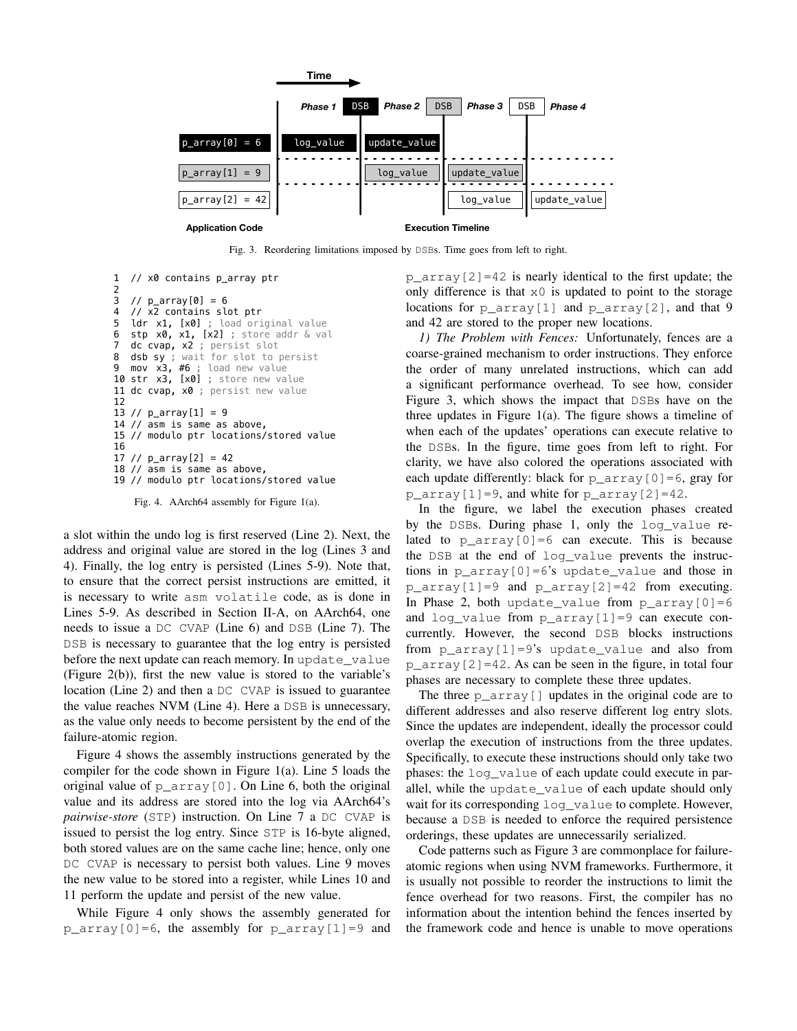

Fig. 3. Reordering limitations imposed by DSBs. Time goes from left to right.

```
1 // x0 contains p_array ptr
2
3 // p_{array}[0] = 64 // x2 contains slot ptr
5 ldr x1, [x0] ; load original value
6 stp x0, x1, [x2] ; store addr & val
7 dc cvap, x2 ; persist slot
8 dsb sy ; wait for slot to persist
9 mov x3, #6 ; load new value
10 str x3, [x0] ; store new value
11 dc cvap, x0 ; persist new value
12
13 // p_{array}[1] = 914 // asm is same as above,
15 // modulo ptr locations/stored value
16
17 // p_{array}[2] = 4218 // asm is same as above,
19 // modulo ptr locations/stored value
```
Fig. 4. AArch64 assembly for Figure 1(a).

a slot within the undo log is first reserved (Line 2). Next, the address and original value are stored in the log (Lines 3 and 4). Finally, the log entry is persisted (Lines 5-9). Note that, to ensure that the correct persist instructions are emitted, it is necessary to write asm volatile code, as is done in Lines 5-9. As described in Section II-A, on AArch64, one needs to issue a DC CVAP (Line 6) and DSB (Line 7). The DSB is necessary to guarantee that the log entry is persisted before the next update can reach memory. In update\_value (Figure 2(b)), first the new value is stored to the variable's location (Line 2) and then a DC CVAP is issued to guarantee the value reaches NVM (Line 4). Here a DSB is unnecessary, as the value only needs to become persistent by the end of the failure-atomic region.

Figure 4 shows the assembly instructions generated by the compiler for the code shown in Figure  $1(a)$ . Line 5 loads the original value of  $p_{array}[0]$ . On Line 6, both the original value and its address are stored into the log via AArch64's *pairwise-store* (STP) instruction. On Line 7 a DC CVAP is issued to persist the log entry. Since STP is 16-byte aligned, both stored values are on the same cache line; hence, only one DC CVAP is necessary to persist both values. Line 9 moves the new value to be stored into a register, while Lines 10 and 11 perform the update and persist of the new value.

While Figure 4 only shows the assembly generated for  $p_{array}[0] = 6$ , the assembly for  $p_{array}[1] = 9$  and  $p_{\text{array}}[2] = 42$  is nearly identical to the first update; the only difference is that  $x0$  is updated to point to the storage locations for p\_array[1] and p\_array[2], and that 9 and 42 are stored to the proper new locations.

*1) The Problem with Fences:* Unfortunately, fences are a coarse-grained mechanism to order instructions. They enforce the order of many unrelated instructions, which can add a significant performance overhead. To see how, consider Figure 3, which shows the impact that DSBs have on the three updates in Figure 1(a). The figure shows a timeline of when each of the updates' operations can execute relative to the DSBs. In the figure, time goes from left to right. For clarity, we have also colored the operations associated with each update differently: black for  $p_{\text{array}}[0] = 6$ , gray for p\_array[1]=9, and white for p\_array[2]=42.

In the figure, we label the execution phases created by the DSBs. During phase 1, only the log\_value related to  $p_{\text{array}}[0] = 6$  can execute. This is because the DSB at the end of log\_value prevents the instructions in p\_array[0]=6's update\_value and those in p\_array[1]=9 and p\_array[2]=42 from executing. In Phase 2, both update\_value from  $p_{array}[0]=6$ and log value from p\_array $[1]=9$  can execute concurrently. However, the second DSB blocks instructions from p\_array[1]=9's update value and also from  $p_{\text{array}}[2] = 42$ . As can be seen in the figure, in total four phases are necessary to complete these three updates.

The three  $p_{\text{array}}[$ ] updates in the original code are to different addresses and also reserve different log entry slots. Since the updates are independent, ideally the processor could overlap the execution of instructions from the three updates. Specifically, to execute these instructions should only take two phases: the log\_value of each update could execute in parallel, while the update\_value of each update should only wait for its corresponding  $log$  value to complete. However, because a DSB is needed to enforce the required persistence orderings, these updates are unnecessarily serialized.

Code patterns such as Figure 3 are commonplace for failureatomic regions when using NVM frameworks. Furthermore, it is usually not possible to reorder the instructions to limit the fence overhead for two reasons. First, the compiler has no information about the intention behind the fences inserted by the framework code and hence is unable to move operations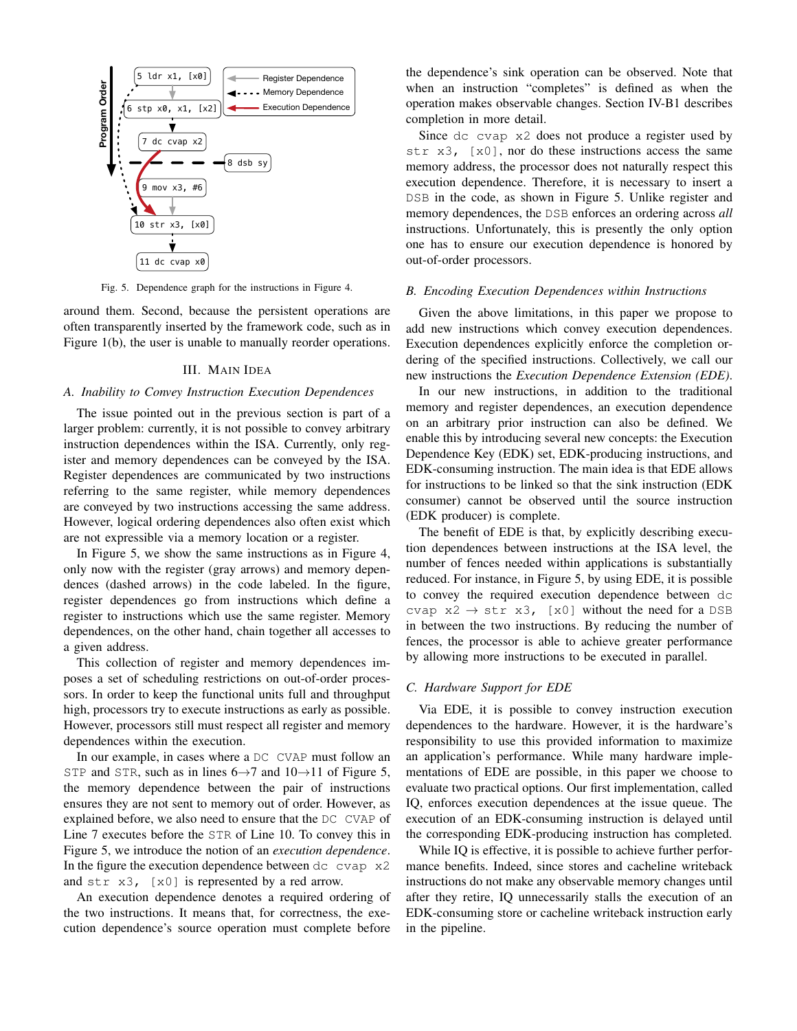

Fig. 5. Dependence graph for the instructions in Figure 4.

around them. Second, because the persistent operations are often transparently inserted by the framework code, such as in Figure 1(b), the user is unable to manually reorder operations.

#### III. MAIN IDEA

# *A. Inability to Convey Instruction Execution Dependences*

The issue pointed out in the previous section is part of a larger problem: currently, it is not possible to convey arbitrary instruction dependences within the ISA. Currently, only register and memory dependences can be conveyed by the ISA. Register dependences are communicated by two instructions referring to the same register, while memory dependences are conveyed by two instructions accessing the same address. However, logical ordering dependences also often exist which are not expressible via a memory location or a register.

In Figure 5, we show the same instructions as in Figure 4, only now with the register (gray arrows) and memory dependences (dashed arrows) in the code labeled. In the figure, register dependences go from instructions which define a register to instructions which use the same register. Memory dependences, on the other hand, chain together all accesses to a given address.

This collection of register and memory dependences imposes a set of scheduling restrictions on out-of-order processors. In order to keep the functional units full and throughput high, processors try to execute instructions as early as possible. However, processors still must respect all register and memory dependences within the execution.

In our example, in cases where a DC CVAP must follow an STP and STR, such as in lines  $6 \rightarrow 7$  and  $10 \rightarrow 11$  of Figure 5, the memory dependence between the pair of instructions ensures they are not sent to memory out of order. However, as explained before, we also need to ensure that the DC CVAP of Line 7 executes before the STR of Line 10. To convey this in Figure 5, we introduce the notion of an *execution dependence*. In the figure the execution dependence between  $dc$  cvap  $x2$ and str x3, [x0] is represented by a red arrow.

An execution dependence denotes a required ordering of the two instructions. It means that, for correctness, the execution dependence's source operation must complete before the dependence's sink operation can be observed. Note that when an instruction "completes" is defined as when the operation makes observable changes. Section IV-B1 describes completion in more detail.

Since dc cvap x2 does not produce a register used by str  $x3$ ,  $[x0]$ , nor do these instructions access the same memory address, the processor does not naturally respect this execution dependence. Therefore, it is necessary to insert a DSB in the code, as shown in Figure 5. Unlike register and memory dependences, the DSB enforces an ordering across *all* instructions. Unfortunately, this is presently the only option one has to ensure our execution dependence is honored by out-of-order processors.

#### *B. Encoding Execution Dependences within Instructions*

Given the above limitations, in this paper we propose to add new instructions which convey execution dependences. Execution dependences explicitly enforce the completion ordering of the specified instructions. Collectively, we call our new instructions the *Execution Dependence Extension (EDE)*.

In our new instructions, in addition to the traditional memory and register dependences, an execution dependence on an arbitrary prior instruction can also be defined. We enable this by introducing several new concepts: the Execution Dependence Key (EDK) set, EDK-producing instructions, and EDK-consuming instruction. The main idea is that EDE allows for instructions to be linked so that the sink instruction (EDK consumer) cannot be observed until the source instruction (EDK producer) is complete.

The benefit of EDE is that, by explicitly describing execution dependences between instructions at the ISA level, the number of fences needed within applications is substantially reduced. For instance, in Figure 5, by using EDE, it is possible to convey the required execution dependence between dc cvap  $x^2 \rightarrow str \ x^3$ , [x0] without the need for a DSB in between the two instructions. By reducing the number of fences, the processor is able to achieve greater performance by allowing more instructions to be executed in parallel.

## *C. Hardware Support for EDE*

Via EDE, it is possible to convey instruction execution dependences to the hardware. However, it is the hardware's responsibility to use this provided information to maximize an application's performance. While many hardware implementations of EDE are possible, in this paper we choose to evaluate two practical options. Our first implementation, called IQ, enforces execution dependences at the issue queue. The execution of an EDK-consuming instruction is delayed until the corresponding EDK-producing instruction has completed.

While IQ is effective, it is possible to achieve further performance benefits. Indeed, since stores and cacheline writeback instructions do not make any observable memory changes until after they retire, IQ unnecessarily stalls the execution of an EDK-consuming store or cacheline writeback instruction early in the pipeline.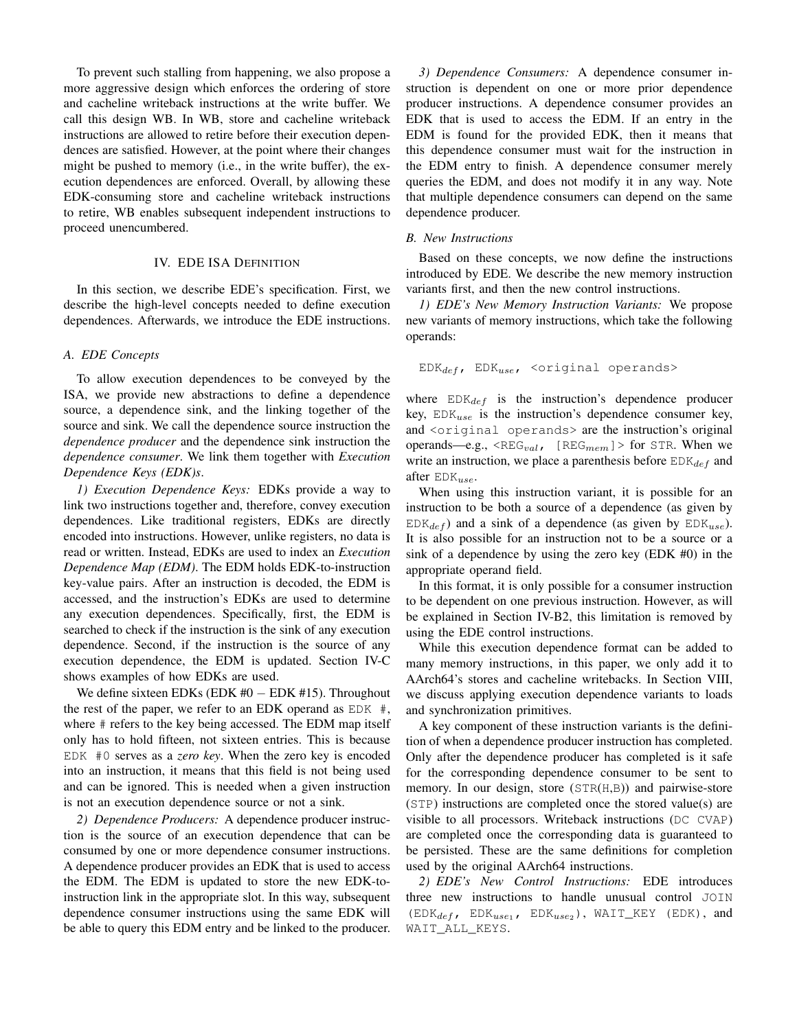To prevent such stalling from happening, we also propose a more aggressive design which enforces the ordering of store and cacheline writeback instructions at the write buffer. We call this design WB. In WB, store and cacheline writeback instructions are allowed to retire before their execution dependences are satisfied. However, at the point where their changes might be pushed to memory (i.e., in the write buffer), the execution dependences are enforced. Overall, by allowing these EDK-consuming store and cacheline writeback instructions to retire, WB enables subsequent independent instructions to proceed unencumbered.

## IV. EDE ISA DEFINITION

In this section, we describe EDE's specification. First, we describe the high-level concepts needed to define execution dependences. Afterwards, we introduce the EDE instructions.

#### *A. EDE Concepts*

To allow execution dependences to be conveyed by the ISA, we provide new abstractions to define a dependence source, a dependence sink, and the linking together of the source and sink. We call the dependence source instruction the *dependence producer* and the dependence sink instruction the *dependence consumer*. We link them together with *Execution Dependence Keys (EDK)s*.

*1) Execution Dependence Keys:* EDKs provide a way to link two instructions together and, therefore, convey execution dependences. Like traditional registers, EDKs are directly encoded into instructions. However, unlike registers, no data is read or written. Instead, EDKs are used to index an *Execution Dependence Map (EDM)*. The EDM holds EDK-to-instruction key-value pairs. After an instruction is decoded, the EDM is accessed, and the instruction's EDKs are used to determine any execution dependences. Specifically, first, the EDM is searched to check if the instruction is the sink of any execution dependence. Second, if the instruction is the source of any execution dependence, the EDM is updated. Section IV-C shows examples of how EDKs are used.

We define sixteen EDKs (EDK  $#0 - EDK #15$ ). Throughout the rest of the paper, we refer to an EDK operand as  $EDK$  #, where # refers to the key being accessed. The EDM map itself only has to hold fifteen, not sixteen entries. This is because EDK #0 serves as a *zero key*. When the zero key is encoded into an instruction, it means that this field is not being used and can be ignored. This is needed when a given instruction is not an execution dependence source or not a sink.

*2) Dependence Producers:* A dependence producer instruction is the source of an execution dependence that can be consumed by one or more dependence consumer instructions. A dependence producer provides an EDK that is used to access the EDM. The EDM is updated to store the new EDK-toinstruction link in the appropriate slot. In this way, subsequent dependence consumer instructions using the same EDK will be able to query this EDM entry and be linked to the producer.

*3) Dependence Consumers:* A dependence consumer instruction is dependent on one or more prior dependence producer instructions. A dependence consumer provides an EDK that is used to access the EDM. If an entry in the EDM is found for the provided EDK, then it means that this dependence consumer must wait for the instruction in the EDM entry to finish. A dependence consumer merely queries the EDM, and does not modify it in any way. Note that multiple dependence consumers can depend on the same dependence producer.

## *B. New Instructions*

Based on these concepts, we now define the instructions introduced by EDE. We describe the new memory instruction variants first, and then the new control instructions.

*1) EDE's New Memory Instruction Variants:* We propose new variants of memory instructions, which take the following operands:

```
EDK_{def}, EDK_{use}, <original operands>
```
where  $EDK_{def}$  is the instruction's dependence producer key,  $EDK_{use}$  is the instruction's dependence consumer key, and <original operands> are the instruction's original operands—e.g.,  $\langle \text{REG}_{val} \rangle$  [REG<sub>mem</sub>] > for STR. When we write an instruction, we place a parenthesis before  $EDK_{def}$  and after  $EDK_{use}$ .

When using this instruction variant, it is possible for an instruction to be both a source of a dependence (as given by  $EDK_{def}$ ) and a sink of a dependence (as given by  $EDK_{use}$ ). It is also possible for an instruction not to be a source or a sink of a dependence by using the zero key (EDK #0) in the appropriate operand field.

In this format, it is only possible for a consumer instruction to be dependent on one previous instruction. However, as will be explained in Section IV-B2, this limitation is removed by using the EDE control instructions.

While this execution dependence format can be added to many memory instructions, in this paper, we only add it to AArch64's stores and cacheline writebacks. In Section VIII, we discuss applying execution dependence variants to loads and synchronization primitives.

A key component of these instruction variants is the definition of when a dependence producer instruction has completed. Only after the dependence producer has completed is it safe for the corresponding dependence consumer to be sent to memory. In our design, store (STR(H,B)) and pairwise-store (STP) instructions are completed once the stored value(s) are visible to all processors. Writeback instructions (DC CVAP) are completed once the corresponding data is guaranteed to be persisted. These are the same definitions for completion used by the original AArch64 instructions.

*2) EDE's New Control Instructions:* EDE introduces three new instructions to handle unusual control JOIN  $(\text{EDK}_{def}, \text{ EDK}_{use_1}, \text{EDK}_{use_2}), \text{WAIT\_KEY}$  (EDK), and WAIT\_ALL\_KEYS.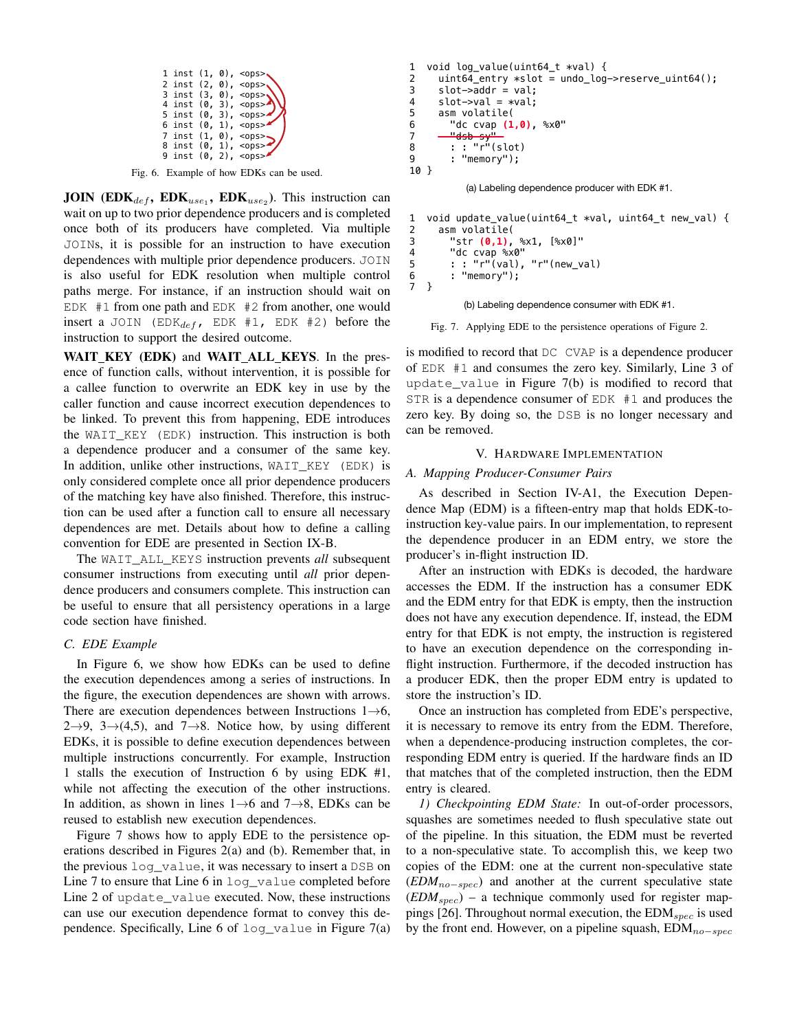|  |  | 1 inst $(1, 0)$ , <ops>.</ops> |
|--|--|--------------------------------|
|  |  | 2 inst $(2, 0)$ , <ops></ops>  |
|  |  | 3 inst (3, 0), <0ps>           |
|  |  | 4 inst $(0, 3)$ , <0ps>        |
|  |  | 5 inst $(0, 3)$ , <ops></ops>  |
|  |  | 6 inst $(0, 1)$ , <ops></ops>  |
|  |  | 7 inst (1, 0), <ops>.</ops>    |
|  |  | 8 inst $(0, 1)$ , <ops></ops>  |
|  |  | 9 inst $(0, 2)$ , <ops></ops>  |

Fig. 6. Example of how EDKs can be used.

**JOIN** (EDK<sub>def</sub>, EDK<sub>use<sub>1</sub></sub>, EDK<sub>use<sub>2</sub>). This instruction can</sub> wait on up to two prior dependence producers and is completed once both of its producers have completed. Via multiple JOINs, it is possible for an instruction to have execution dependences with multiple prior dependence producers. JOIN is also useful for EDK resolution when multiple control paths merge. For instance, if an instruction should wait on EDK #1 from one path and EDK #2 from another, one would insert a JOIN (EDK $_{def}$ , EDK #1, EDK #2) before the instruction to support the desired outcome.

WAIT KEY (EDK) and WAIT ALL KEYS. In the presence of function calls, without intervention, it is possible for a callee function to overwrite an EDK key in use by the caller function and cause incorrect execution dependences to be linked. To prevent this from happening, EDE introduces the WAIT\_KEY (EDK) instruction. This instruction is both a dependence producer and a consumer of the same key. In addition, unlike other instructions, WAIT\_KEY (EDK) is only considered complete once all prior dependence producers of the matching key have also finished. Therefore, this instruction can be used after a function call to ensure all necessary dependences are met. Details about how to define a calling convention for EDE are presented in Section IX-B.

The WAIT\_ALL\_KEYS instruction prevents *all* subsequent consumer instructions from executing until *all* prior dependence producers and consumers complete. This instruction can be useful to ensure that all persistency operations in a large code section have finished.

## *C. EDE Example*

In Figure 6, we show how EDKs can be used to define the execution dependences among a series of instructions. In the figure, the execution dependences are shown with arrows. There are execution dependences between Instructions  $1\rightarrow 6$ ,  $2\rightarrow 9$ ,  $3\rightarrow (4,5)$ , and  $7\rightarrow 8$ . Notice how, by using different EDKs, it is possible to define execution dependences between multiple instructions concurrently. For example, Instruction 1 stalls the execution of Instruction 6 by using EDK #1, while not affecting the execution of the other instructions. In addition, as shown in lines  $1\rightarrow 6$  and  $7\rightarrow 8$ , EDKs can be reused to establish new execution dependences.

Figure 7 shows how to apply EDE to the persistence operations described in Figures 2(a) and (b). Remember that, in the previous log\_value, it was necessary to insert a DSB on Line 7 to ensure that Line 6 in log\_value completed before Line 2 of update value executed. Now, these instructions can use our execution dependence format to convey this dependence. Specifically, Line 6 of  $log\_value$  in Figure 7(a)

```
1 void log_value(uint64_t *val) { 
2 uint64_entry *slot = undo_log->reserve_uint64();<br>3 slot->addr = val:
     slot->addr = val:
4 slot->val = *val;
5 asm volatile(
6 "dc cvap (1,0), %x0"
7 "dsb sy"
       : "r"(\text{slot})9 : "memory");
10 }
```
(a) Labeling dependence producer with EDK #1.

```
1 void update_value(uint64_t *val, uint64_t new_val) {<br>2 asm volatile(
      asm volatile(
3 "str (0,1), %x1, [%x0]"
4 "dc cvap %x0"<br>5 : : "r"(val),
5 : : "r"(val), "r"(new_val)<br>6 : "memorv"):
        : "memory");
7 }
```
(b) Labeling dependence consumer with EDK #1.

Fig. 7. Applying EDE to the persistence operations of Figure 2.

is modified to record that DC CVAP is a dependence producer of EDK #1 and consumes the zero key. Similarly, Line 3 of update\_value in Figure 7(b) is modified to record that STR is a dependence consumer of EDK #1 and produces the zero key. By doing so, the DSB is no longer necessary and can be removed.

## V. HARDWARE IMPLEMENTATION

#### *A. Mapping Producer-Consumer Pairs*

As described in Section IV-A1, the Execution Dependence Map (EDM) is a fifteen-entry map that holds EDK-toinstruction key-value pairs. In our implementation, to represent the dependence producer in an EDM entry, we store the producer's in-flight instruction ID.

After an instruction with EDKs is decoded, the hardware accesses the EDM. If the instruction has a consumer EDK and the EDM entry for that EDK is empty, then the instruction does not have any execution dependence. If, instead, the EDM entry for that EDK is not empty, the instruction is registered to have an execution dependence on the corresponding inflight instruction. Furthermore, if the decoded instruction has a producer EDK, then the proper EDM entry is updated to store the instruction's ID.

Once an instruction has completed from EDE's perspective, it is necessary to remove its entry from the EDM. Therefore, when a dependence-producing instruction completes, the corresponding EDM entry is queried. If the hardware finds an ID that matches that of the completed instruction, then the EDM entry is cleared.

*1) Checkpointing EDM State:* In out-of-order processors, squashes are sometimes needed to flush speculative state out of the pipeline. In this situation, the EDM must be reverted to a non-speculative state. To accomplish this, we keep two copies of the EDM: one at the current non-speculative state (*EDM*<sub>no−spec</sub>) and another at the current speculative state  $(EDM_{spec})$  – a technique commonly used for register mappings [26]. Throughout normal execution, the  $EDM_{spec}$  is used by the front end. However, on a pipeline squash,  $EDM_{no-spec}$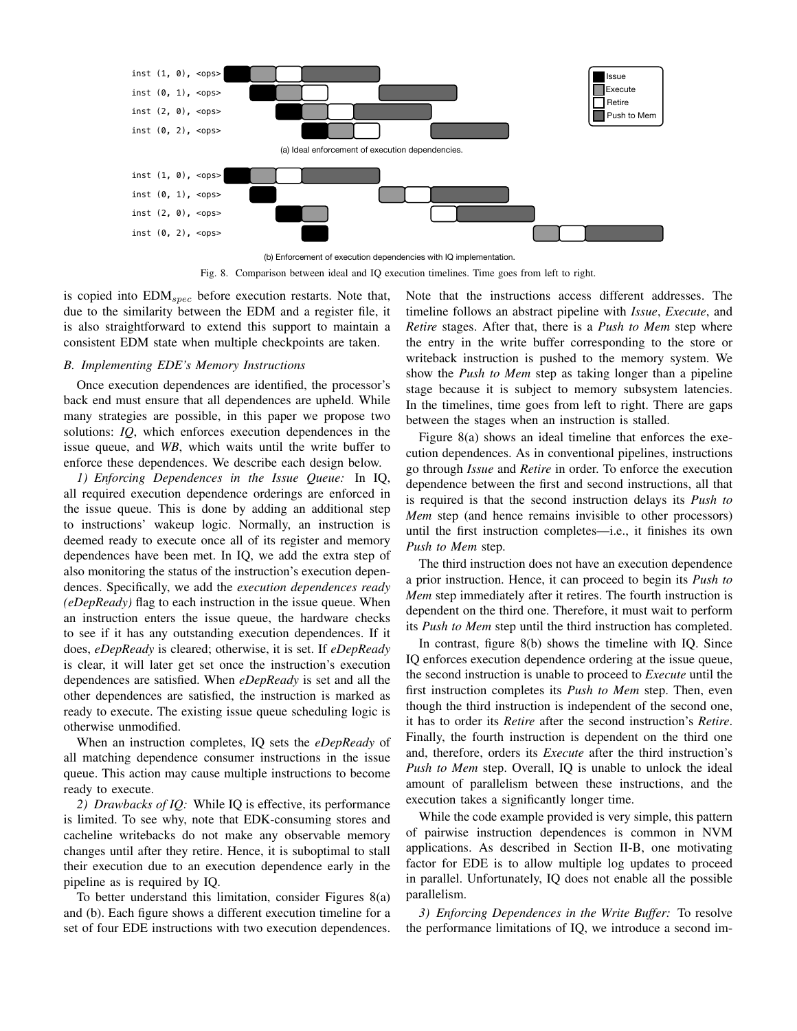

Fig. 8. Comparison between ideal and IQ execution timelines. Time goes from left to right.

is copied into  $EDM_{spec}$  before execution restarts. Note that, due to the similarity between the EDM and a register file, it is also straightforward to extend this support to maintain a consistent EDM state when multiple checkpoints are taken.

## *B. Implementing EDE's Memory Instructions*

Once execution dependences are identified, the processor's back end must ensure that all dependences are upheld. While many strategies are possible, in this paper we propose two solutions: *IQ*, which enforces execution dependences in the issue queue, and *WB*, which waits until the write buffer to enforce these dependences. We describe each design below.

*1) Enforcing Dependences in the Issue Queue:* In IQ, all required execution dependence orderings are enforced in the issue queue. This is done by adding an additional step to instructions' wakeup logic. Normally, an instruction is deemed ready to execute once all of its register and memory dependences have been met. In IQ, we add the extra step of also monitoring the status of the instruction's execution dependences. Specifically, we add the *execution dependences ready (eDepReady)* flag to each instruction in the issue queue. When an instruction enters the issue queue, the hardware checks to see if it has any outstanding execution dependences. If it does, *eDepReady* is cleared; otherwise, it is set. If *eDepReady* is clear, it will later get set once the instruction's execution dependences are satisfied. When *eDepReady* is set and all the other dependences are satisfied, the instruction is marked as ready to execute. The existing issue queue scheduling logic is otherwise unmodified.

When an instruction completes, IQ sets the *eDepReady* of all matching dependence consumer instructions in the issue queue. This action may cause multiple instructions to become ready to execute.

*2) Drawbacks of IQ:* While IQ is effective, its performance is limited. To see why, note that EDK-consuming stores and cacheline writebacks do not make any observable memory changes until after they retire. Hence, it is suboptimal to stall their execution due to an execution dependence early in the pipeline as is required by IQ.

To better understand this limitation, consider Figures 8(a) and (b). Each figure shows a different execution timeline for a set of four EDE instructions with two execution dependences. Note that the instructions access different addresses. The timeline follows an abstract pipeline with *Issue*, *Execute*, and *Retire* stages. After that, there is a *Push to Mem* step where the entry in the write buffer corresponding to the store or writeback instruction is pushed to the memory system. We show the *Push to Mem* step as taking longer than a pipeline stage because it is subject to memory subsystem latencies. In the timelines, time goes from left to right. There are gaps between the stages when an instruction is stalled.

Figure 8(a) shows an ideal timeline that enforces the execution dependences. As in conventional pipelines, instructions go through *Issue* and *Retire* in order. To enforce the execution dependence between the first and second instructions, all that is required is that the second instruction delays its *Push to Mem* step (and hence remains invisible to other processors) until the first instruction completes—i.e., it finishes its own *Push to Mem* step.

The third instruction does not have an execution dependence a prior instruction. Hence, it can proceed to begin its *Push to Mem* step immediately after it retires. The fourth instruction is dependent on the third one. Therefore, it must wait to perform its *Push to Mem* step until the third instruction has completed.

In contrast, figure 8(b) shows the timeline with IQ. Since IQ enforces execution dependence ordering at the issue queue, the second instruction is unable to proceed to *Execute* until the first instruction completes its *Push to Mem* step. Then, even though the third instruction is independent of the second one, it has to order its *Retire* after the second instruction's *Retire*. Finally, the fourth instruction is dependent on the third one and, therefore, orders its *Execute* after the third instruction's *Push to Mem* step. Overall, IQ is unable to unlock the ideal amount of parallelism between these instructions, and the execution takes a significantly longer time.

While the code example provided is very simple, this pattern of pairwise instruction dependences is common in NVM applications. As described in Section II-B, one motivating factor for EDE is to allow multiple log updates to proceed in parallel. Unfortunately, IQ does not enable all the possible parallelism.

*3) Enforcing Dependences in the Write Buffer:* To resolve the performance limitations of IQ, we introduce a second im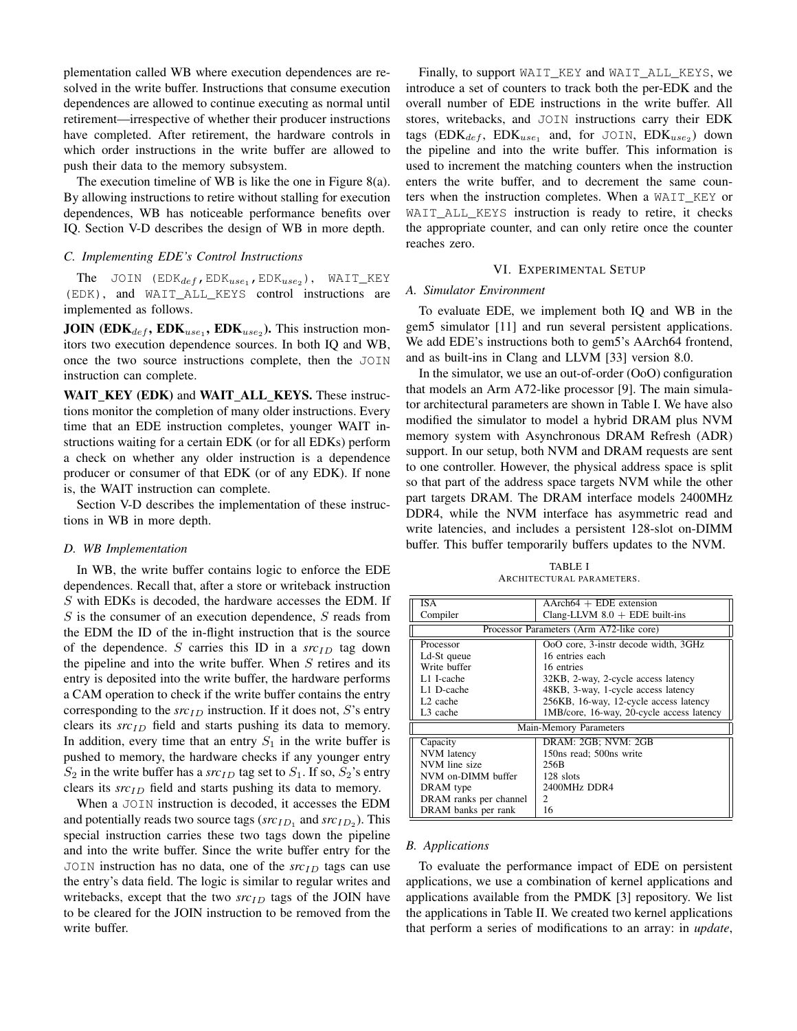plementation called WB where execution dependences are resolved in the write buffer. Instructions that consume execution dependences are allowed to continue executing as normal until retirement—irrespective of whether their producer instructions have completed. After retirement, the hardware controls in which order instructions in the write buffer are allowed to push their data to the memory subsystem.

The execution timeline of WB is like the one in Figure 8(a). By allowing instructions to retire without stalling for execution dependences, WB has noticeable performance benefits over IQ. Section V-D describes the design of WB in more depth.

#### *C. Implementing EDE's Control Instructions*

The JOIN  $(EDK_{def}, EDK_{use_1}, EDK_{use_2})$ , WAIT\_KEY (EDK), and WAIT\_ALL\_KEYS control instructions are implemented as follows.

**JOIN** (EDK<sub>def</sub>, EDK<sub>use1</sub>, EDK<sub>use2</sub>). This instruction monitors two execution dependence sources. In both IQ and WB, once the two source instructions complete, then the JOIN instruction can complete.

WAIT KEY (EDK) and WAIT ALL KEYS. These instructions monitor the completion of many older instructions. Every time that an EDE instruction completes, younger WAIT instructions waiting for a certain EDK (or for all EDKs) perform a check on whether any older instruction is a dependence producer or consumer of that EDK (or of any EDK). If none is, the WAIT instruction can complete.

Section V-D describes the implementation of these instructions in WB in more depth.

#### *D. WB Implementation*

In WB, the write buffer contains logic to enforce the EDE dependences. Recall that, after a store or writeback instruction S with EDKs is decoded, the hardware accesses the EDM. If S is the consumer of an execution dependence, S reads from the EDM the ID of the in-flight instruction that is the source of the dependence. S carries this ID in a  $src_{ID}$  tag down the pipeline and into the write buffer. When  $S$  retires and its entry is deposited into the write buffer, the hardware performs a CAM operation to check if the write buffer contains the entry corresponding to the  $src_{ID}$  instruction. If it does not, S's entry clears its *src<sub>ID</sub>* field and starts pushing its data to memory. In addition, every time that an entry  $S_1$  in the write buffer is pushed to memory, the hardware checks if any younger entry  $S_2$  in the write buffer has a *src<sub>ID</sub>* tag set to  $S_1$ . If so,  $S_2$ 's entry clears its *src<sub>ID</sub>* field and starts pushing its data to memory.

When a JOIN instruction is decoded, it accesses the EDM and potentially reads two source tags  $(src_{ID_1}$  and  $src_{ID_2}$ ). This special instruction carries these two tags down the pipeline and into the write buffer. Since the write buffer entry for the JOIN instruction has no data, one of the  $src<sub>ID</sub>$  tags can use the entry's data field. The logic is similar to regular writes and writebacks, except that the two  $src<sub>ID</sub>$  tags of the JOIN have to be cleared for the JOIN instruction to be removed from the write buffer.

Finally, to support WAIT\_KEY and WAIT\_ALL\_KEYS, we introduce a set of counters to track both the per-EDK and the overall number of EDE instructions in the write buffer. All stores, writebacks, and JOIN instructions carry their EDK tags ( $EDK_{def}$ ,  $EDK_{use_1}$  and, for JOIN,  $EDK_{use_2}$ ) down the pipeline and into the write buffer. This information is used to increment the matching counters when the instruction enters the write buffer, and to decrement the same counters when the instruction completes. When a WAIT\_KEY or WAIT ALL KEYS instruction is ready to retire, it checks the appropriate counter, and can only retire once the counter reaches zero.

#### VI. EXPERIMENTAL SETUP

#### *A. Simulator Environment*

To evaluate EDE, we implement both IQ and WB in the gem5 simulator [11] and run several persistent applications. We add EDE's instructions both to gem5's AArch64 frontend, and as built-ins in Clang and LLVM [33] version 8.0.

In the simulator, we use an out-of-order (OoO) configuration that models an Arm A72-like processor [9]. The main simulator architectural parameters are shown in Table I. We have also modified the simulator to model a hybrid DRAM plus NVM memory system with Asynchronous DRAM Refresh (ADR) support. In our setup, both NVM and DRAM requests are sent to one controller. However, the physical address space is split so that part of the address space targets NVM while the other part targets DRAM. The DRAM interface models 2400MHz DDR4, while the NVM interface has asymmetric read and write latencies, and includes a persistent 128-slot on-DIMM buffer. This buffer temporarily buffers updates to the NVM.

TABLE I ARCHITECTURAL PARAMETERS.

| <b>ISA</b>                               | $\overline{AArch64 + EDE}$ extension      |  |
|------------------------------------------|-------------------------------------------|--|
| Compiler                                 | Clang-LLVM $8.0 + EDE$ built-ins          |  |
| Processor Parameters (Arm A72-like core) |                                           |  |
| Processor                                | OoO core, 3-instr decode width, 3GHz      |  |
| Ld-St queue                              | 16 entries each                           |  |
| Write buffer                             | 16 entries                                |  |
| L1 I-cache                               | 32KB, 2-way, 2-cycle access latency       |  |
| L1 D-cache                               | 48KB, 3-way, 1-cycle access latency       |  |
| L <sub>2</sub> cache                     | 256KB, 16-way, 12-cycle access latency    |  |
| L <sub>3</sub> cache                     | 1MB/core, 16-way, 20-cycle access latency |  |
|                                          | Main-Memory Parameters                    |  |
| Capacity                                 | DRAM: 2GB; NVM: 2GB                       |  |
| NVM latency                              | 150ns read; 500ns write                   |  |
| NVM line size                            | 256B                                      |  |
| NVM on-DIMM buffer                       | 128 slots                                 |  |
| DRAM type                                | 2400MHz DDR4                              |  |
| DRAM ranks per channel                   | $\mathfrak{D}$                            |  |
| DRAM banks per rank                      | 16                                        |  |

#### *B. Applications*

To evaluate the performance impact of EDE on persistent applications, we use a combination of kernel applications and applications available from the PMDK [3] repository. We list the applications in Table II. We created two kernel applications that perform a series of modifications to an array: in *update*,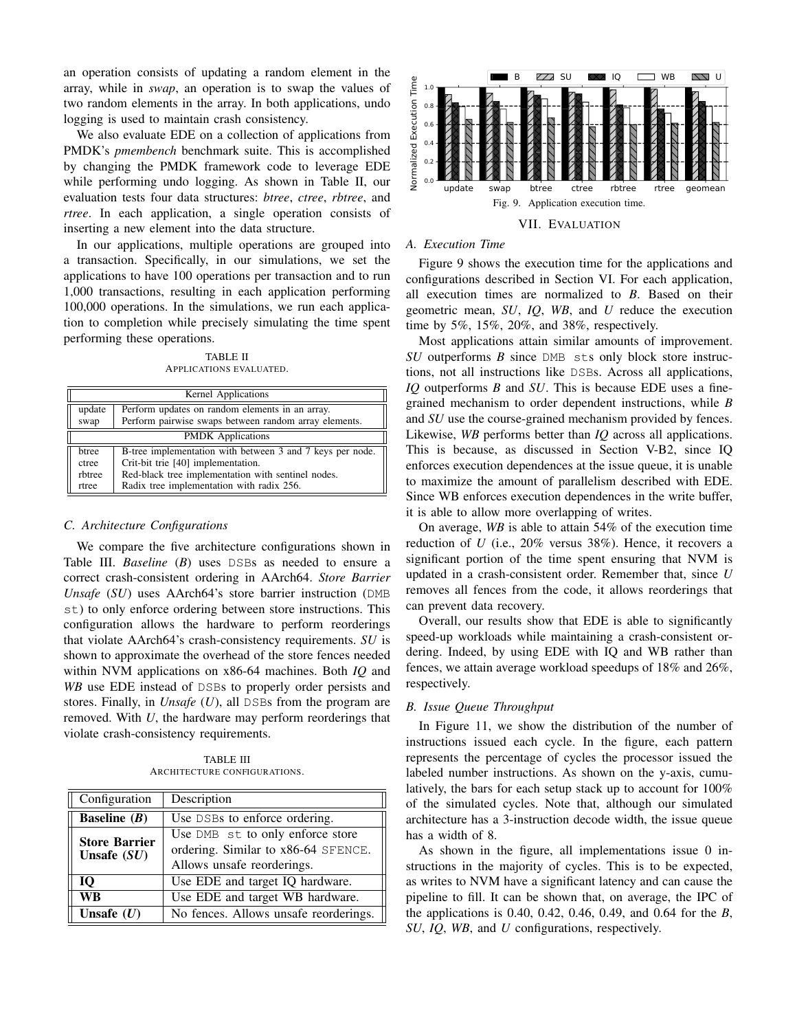an operation consists of updating a random element in the array, while in *swap*, an operation is to swap the values of two random elements in the array. In both applications, undo logging is used to maintain crash consistency.

We also evaluate EDE on a collection of applications from PMDK's *pmembench* benchmark suite. This is accomplished by changing the PMDK framework code to leverage EDE while performing undo logging. As shown in Table II, our evaluation tests four data structures: *btree*, *ctree*, *rbtree*, and *rtree*. In each application, a single operation consists of inserting a new element into the data structure.

In our applications, multiple operations are grouped into a transaction. Specifically, in our simulations, we set the applications to have 100 operations per transaction and to run 1,000 transactions, resulting in each application performing 100,000 operations. In the simulations, we run each application to completion while precisely simulating the time spent performing these operations.

TABLE II APPLICATIONS EVALUATED.

| <b>Kernel Applications</b> |                                                           |  |  |  |
|----------------------------|-----------------------------------------------------------|--|--|--|
| update                     | Perform updates on random elements in an array.           |  |  |  |
| swap                       | Perform pairwise swaps between random array elements.     |  |  |  |
|                            | <b>PMDK</b> Applications                                  |  |  |  |
| htree                      | B-tree implementation with between 3 and 7 keys per node. |  |  |  |
| ctree                      | Crit-bit trie [40] implementation.                        |  |  |  |
| rbtree                     | Red-black tree implementation with sentinel nodes.        |  |  |  |
| rtree                      | Radix tree implementation with radix 256.                 |  |  |  |

## *C. Architecture Configurations*

We compare the five architecture configurations shown in Table III. *Baseline* (*B*) uses DSBs as needed to ensure a correct crash-consistent ordering in AArch64. *Store Barrier Unsafe* (*SU*) uses AArch64's store barrier instruction (DMB st) to only enforce ordering between store instructions. This configuration allows the hardware to perform reorderings that violate AArch64's crash-consistency requirements. *SU* is shown to approximate the overhead of the store fences needed within NVM applications on x86-64 machines. Both *IQ* and *WB* use EDE instead of DSBs to properly order persists and stores. Finally, in *Unsafe* (*U*), all DSBs from the program are removed. With *U*, the hardware may perform reorderings that violate crash-consistency requirements.

TABLE III ARCHITECTURE CONFIGURATIONS.

| Configuration                         | Description                                                                                           |  |
|---------------------------------------|-------------------------------------------------------------------------------------------------------|--|
| <b>Baseline</b> $(B)$                 | Use DSBs to enforce ordering.                                                                         |  |
| <b>Store Barrier</b><br>Unsafe $(SU)$ | Use DMB st to only enforce store<br>ordering. Similar to x86-64 SFENCE.<br>Allows unsafe reorderings. |  |
| 10                                    | Use EDE and target IQ hardware.                                                                       |  |
| WВ                                    | Use EDE and target WB hardware.                                                                       |  |
| Unsafe $(U)$                          | No fences. Allows unsafe reorderings.                                                                 |  |



VII. EVALUATION

# *A. Execution Time*

Figure 9 shows the execution time for the applications and configurations described in Section VI. For each application, all execution times are normalized to *B*. Based on their geometric mean, *SU*, *IQ*, *WB*, and *U* reduce the execution time by 5%, 15%, 20%, and 38%, respectively.

Most applications attain similar amounts of improvement. *SU* outperforms *B* since DMB sts only block store instructions, not all instructions like DSBs. Across all applications, *IQ* outperforms *B* and *SU*. This is because EDE uses a finegrained mechanism to order dependent instructions, while *B* and *SU* use the course-grained mechanism provided by fences. Likewise, *WB* performs better than *IQ* across all applications. This is because, as discussed in Section V-B2, since IQ enforces execution dependences at the issue queue, it is unable to maximize the amount of parallelism described with EDE. Since WB enforces execution dependences in the write buffer, it is able to allow more overlapping of writes.

On average, *WB* is able to attain 54% of the execution time reduction of *U* (i.e., 20% versus 38%). Hence, it recovers a significant portion of the time spent ensuring that NVM is updated in a crash-consistent order. Remember that, since *U* removes all fences from the code, it allows reorderings that can prevent data recovery.

Overall, our results show that EDE is able to significantly speed-up workloads while maintaining a crash-consistent ordering. Indeed, by using EDE with IQ and WB rather than fences, we attain average workload speedups of 18% and 26%, respectively.

## *B. Issue Queue Throughput*

In Figure 11, we show the distribution of the number of instructions issued each cycle. In the figure, each pattern represents the percentage of cycles the processor issued the labeled number instructions. As shown on the y-axis, cumulatively, the bars for each setup stack up to account for 100% of the simulated cycles. Note that, although our simulated architecture has a 3-instruction decode width, the issue queue has a width of 8.

As shown in the figure, all implementations issue 0 instructions in the majority of cycles. This is to be expected, as writes to NVM have a significant latency and can cause the pipeline to fill. It can be shown that, on average, the IPC of the applications is 0.40, 0.42, 0.46, 0.49, and 0.64 for the *B*, *SU*, *IQ*, *WB*, and *U* configurations, respectively.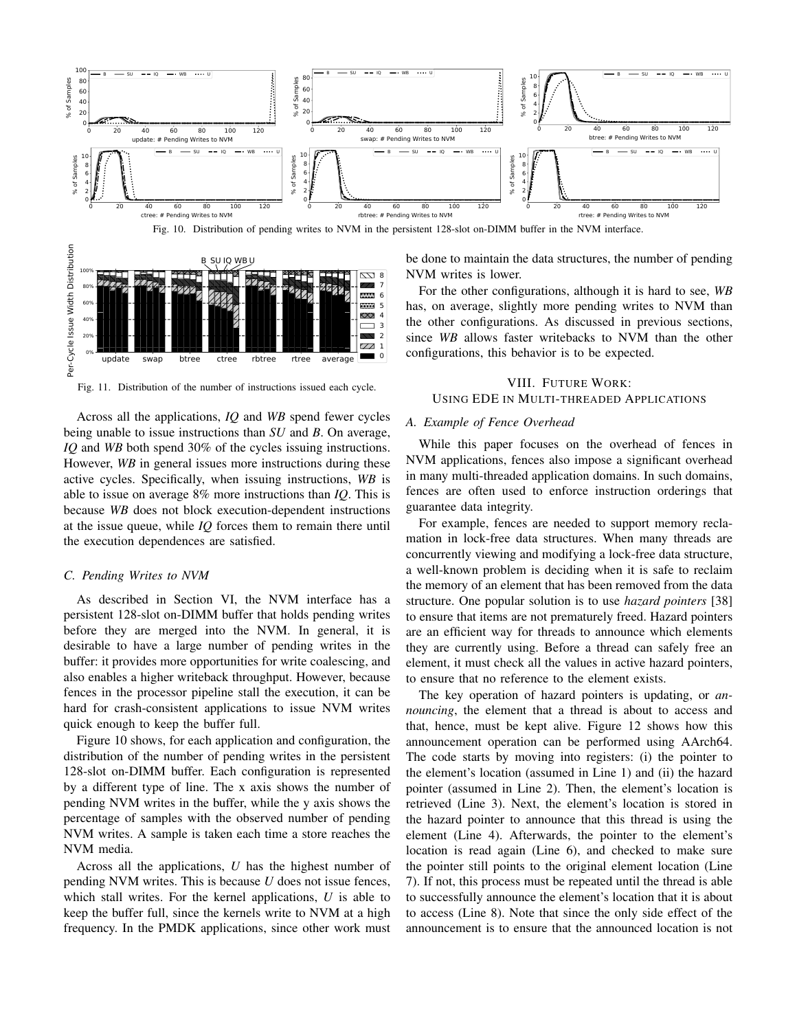

Fig. 10. Distribution of pending writes to NVM in the persistent 128-slot on-DIMM buffer in the NVM interface.



Fig. 11. Distribution of the number of instructions issued each cycle.

Across all the applications, *IQ* and *WB* spend fewer cycles being unable to issue instructions than *SU* and *B*. On average, *IQ* and *WB* both spend 30% of the cycles issuing instructions. However, *WB* in general issues more instructions during these active cycles. Specifically, when issuing instructions, *WB* is able to issue on average 8% more instructions than *IQ*. This is because *WB* does not block execution-dependent instructions at the issue queue, while *IQ* forces them to remain there until the execution dependences are satisfied.

#### *C. Pending Writes to NVM*

As described in Section VI, the NVM interface has a persistent 128-slot on-DIMM buffer that holds pending writes before they are merged into the NVM. In general, it is desirable to have a large number of pending writes in the buffer: it provides more opportunities for write coalescing, and also enables a higher writeback throughput. However, because fences in the processor pipeline stall the execution, it can be hard for crash-consistent applications to issue NVM writes quick enough to keep the buffer full.

Figure 10 shows, for each application and configuration, the distribution of the number of pending writes in the persistent 128-slot on-DIMM buffer. Each configuration is represented by a different type of line. The x axis shows the number of pending NVM writes in the buffer, while the y axis shows the percentage of samples with the observed number of pending NVM writes. A sample is taken each time a store reaches the NVM media.

Across all the applications, *U* has the highest number of pending NVM writes. This is because *U* does not issue fences, which stall writes. For the kernel applications, *U* is able to keep the buffer full, since the kernels write to NVM at a high frequency. In the PMDK applications, since other work must be done to maintain the data structures, the number of pending NVM writes is lower.

For the other configurations, although it is hard to see, *WB* has, on average, slightly more pending writes to NVM than the other configurations. As discussed in previous sections, since *WB* allows faster writebacks to NVM than the other configurations, this behavior is to be expected.

# VIII. FUTURE WORK: USING EDE IN MULTI-THREADED APPLICATIONS

## *A. Example of Fence Overhead*

While this paper focuses on the overhead of fences in NVM applications, fences also impose a significant overhead in many multi-threaded application domains. In such domains, fences are often used to enforce instruction orderings that guarantee data integrity.

For example, fences are needed to support memory reclamation in lock-free data structures. When many threads are concurrently viewing and modifying a lock-free data structure, a well-known problem is deciding when it is safe to reclaim the memory of an element that has been removed from the data structure. One popular solution is to use *hazard pointers* [38] to ensure that items are not prematurely freed. Hazard pointers are an efficient way for threads to announce which elements they are currently using. Before a thread can safely free an element, it must check all the values in active hazard pointers, to ensure that no reference to the element exists.

The key operation of hazard pointers is updating, or *announcing*, the element that a thread is about to access and that, hence, must be kept alive. Figure 12 shows how this announcement operation can be performed using AArch64. The code starts by moving into registers: (i) the pointer to the element's location (assumed in Line 1) and (ii) the hazard pointer (assumed in Line 2). Then, the element's location is retrieved (Line 3). Next, the element's location is stored in the hazard pointer to announce that this thread is using the element (Line 4). Afterwards, the pointer to the element's location is read again (Line 6), and checked to make sure the pointer still points to the original element location (Line 7). If not, this process must be repeated until the thread is able to successfully announce the element's location that it is about to access (Line 8). Note that since the only side effect of the announcement is to ensure that the announced location is not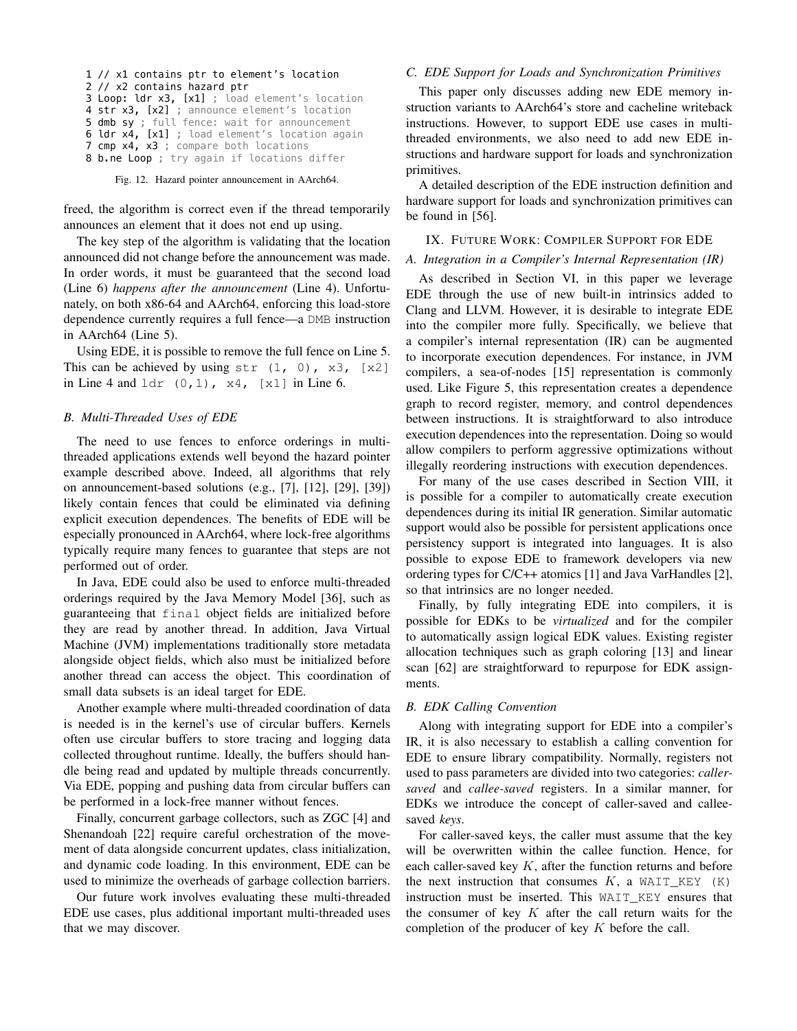```
1 // x1 contains ptr to element's location
2 // x2 contains hazard ptr
3 Loop: ldr x3, [x1] ; load element's location
4 str x3, [x2] ; announce element's location
5 dmb sy ; full fence: wait for announcement
6 ldr x4, [x1] ; load element's location again
7 cmp x4, x3 ; compare both locations
8 b.ne Loop ; try again if locations differ
```
Fig. 12. Hazard pointer announcement in AArch64.

freed, the algorithm is correct even if the thread temporarily announces an element that it does not end up using.

The key step of the algorithm is validating that the location announced did not change before the announcement was made. In order words, it must be guaranteed that the second load (Line 6) *happens after the announcement* (Line 4). Unfortunately, on both x86-64 and AArch64, enforcing this load-store dependence currently requires a full fence—a DMB instruction in AArch64 (Line 5).

Using EDE, it is possible to remove the full fence on Line 5. This can be achieved by using  $str (1, 0), x3, [x2]$ in Line 4 and  $1dr$  (0, 1),  $x4$ , [ $x1$ ] in Line 6.

# *B. Multi-Threaded Uses of EDE*

The need to use fences to enforce orderings in multithreaded applications extends well beyond the hazard pointer example described above. Indeed, all algorithms that rely on announcement-based solutions (e.g., [7], [12], [29], [39]) likely contain fences that could be eliminated via defining explicit execution dependences. The benefits of EDE will be especially pronounced in AArch64, where lock-free algorithms typically require many fences to guarantee that steps are not performed out of order.

In Java, EDE could also be used to enforce multi-threaded orderings required by the Java Memory Model [36], such as guaranteeing that final object fields are initialized before they are read by another thread. In addition, Java Virtual Machine (JVM) implementations traditionally store metadata alongside object fields, which also must be initialized before another thread can access the object. This coordination of small data subsets is an ideal target for EDE.

Another example where multi-threaded coordination of data is needed is in the kernel's use of circular buffers. Kernels often use circular buffers to store tracing and logging data collected throughout runtime. Ideally, the buffers should handle being read and updated by multiple threads concurrently. Via EDE, popping and pushing data from circular buffers can be performed in a lock-free manner without fences.

Finally, concurrent garbage collectors, such as ZGC [4] and Shenandoah [22] require careful orchestration of the movement of data alongside concurrent updates, class initialization, and dynamic code loading. In this environment, EDE can be used to minimize the overheads of garbage collection barriers.

Our future work involves evaluating these multi-threaded EDE use cases, plus additional important multi-threaded uses that we may discover.

# *C. EDE Support for Loads and Synchronization Primitives*

This paper only discusses adding new EDE memory instruction variants to AArch64's store and cacheline writeback instructions. However, to support EDE use cases in multithreaded environments, we also need to add new EDE instructions and hardware support for loads and synchronization primitives.

A detailed description of the EDE instruction definition and hardware support for loads and synchronization primitives can be found in [56].

#### IX. FUTURE WORK: COMPILER SUPPORT FOR EDE

#### *A. Integration in a Compiler's Internal Representation (IR)*

As described in Section VI, in this paper we leverage EDE through the use of new built-in intrinsics added to Clang and LLVM. However, it is desirable to integrate EDE into the compiler more fully. Specifically, we believe that a compiler's internal representation (IR) can be augmented to incorporate execution dependences. For instance, in JVM compilers, a sea-of-nodes [15] representation is commonly used. Like Figure 5, this representation creates a dependence graph to record register, memory, and control dependences between instructions. It is straightforward to also introduce execution dependences into the representation. Doing so would allow compilers to perform aggressive optimizations without illegally reordering instructions with execution dependences.

For many of the use cases described in Section VIII, it is possible for a compiler to automatically create execution dependences during its initial IR generation. Similar automatic support would also be possible for persistent applications once persistency support is integrated into languages. It is also possible to expose EDE to framework developers via new ordering types for C/C++ atomics [1] and Java VarHandles [2], so that intrinsics are no longer needed.

Finally, by fully integrating EDE into compilers, it is possible for EDKs to be *virtualized* and for the compiler to automatically assign logical EDK values. Existing register allocation techniques such as graph coloring [13] and linear scan [62] are straightforward to repurpose for EDK assignments.

## *B. EDK Calling Convention*

Along with integrating support for EDE into a compiler's IR, it is also necessary to establish a calling convention for EDE to ensure library compatibility. Normally, registers not used to pass parameters are divided into two categories: *callersaved* and *callee-saved* registers. In a similar manner, for EDKs we introduce the concept of caller-saved and calleesaved *keys*.

For caller-saved keys, the caller must assume that the key will be overwritten within the callee function. Hence, for each caller-saved key  $K$ , after the function returns and before the next instruction that consumes  $K$ , a WAIT\_KEY  $(K)$ instruction must be inserted. This WAIT KEY ensures that the consumer of key  $K$  after the call return waits for the completion of the producer of key  $K$  before the call.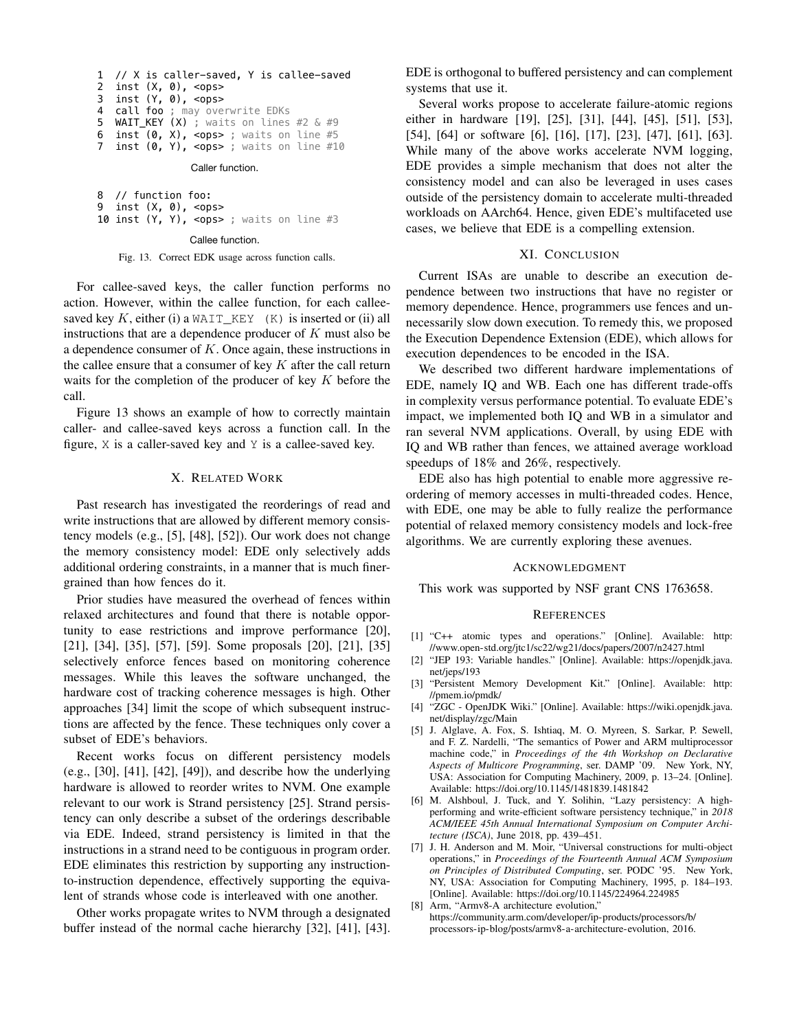```
1 // X is caller-saved, Y is callee-saved
2 inst (X, 0), <ops>
3 inst (Y, 0), <ops><br>4 call foo : may ove
   call foo ; may overwrite EDKs
5 WAIT_KEY (X) ; waits on lines #2 & #9
6 inst (0, x), <ops> ; waits on line #5
7 inst (0, Y), <ops> ; waits on line #10
```
Caller function.

8 // function foo: 9 inst (X, 0), <ops> 10 inst  $(Y, Y)$ , <ops> ; waits on line #3

Callee function.

#### Fig. 13. Correct EDK usage across function calls.

For callee-saved keys, the caller function performs no action. However, within the callee function, for each calleesaved key K, either (i) a WAIT\_KEY (K) is inserted or (ii) all instructions that are a dependence producer of  $K$  must also be a dependence consumer of  $K$ . Once again, these instructions in the callee ensure that a consumer of key  $K$  after the call return waits for the completion of the producer of key  $K$  before the call.

Figure 13 shows an example of how to correctly maintain caller- and callee-saved keys across a function call. In the figure, X is a caller-saved key and Y is a callee-saved key.

## X. RELATED WORK

Past research has investigated the reorderings of read and write instructions that are allowed by different memory consistency models (e.g., [5], [48], [52]). Our work does not change the memory consistency model: EDE only selectively adds additional ordering constraints, in a manner that is much finergrained than how fences do it.

Prior studies have measured the overhead of fences within relaxed architectures and found that there is notable opportunity to ease restrictions and improve performance [20], [21], [34], [35], [57], [59]. Some proposals [20], [21], [35] selectively enforce fences based on monitoring coherence messages. While this leaves the software unchanged, the hardware cost of tracking coherence messages is high. Other approaches [34] limit the scope of which subsequent instructions are affected by the fence. These techniques only cover a subset of EDE's behaviors.

Recent works focus on different persistency models (e.g., [30], [41], [42], [49]), and describe how the underlying hardware is allowed to reorder writes to NVM. One example relevant to our work is Strand persistency [25]. Strand persistency can only describe a subset of the orderings describable via EDE. Indeed, strand persistency is limited in that the instructions in a strand need to be contiguous in program order. EDE eliminates this restriction by supporting any instructionto-instruction dependence, effectively supporting the equivalent of strands whose code is interleaved with one another.

Other works propagate writes to NVM through a designated buffer instead of the normal cache hierarchy [32], [41], [43]. EDE is orthogonal to buffered persistency and can complement systems that use it.

Several works propose to accelerate failure-atomic regions either in hardware [19], [25], [31], [44], [45], [51], [53], [54], [64] or software [6], [16], [17], [23], [47], [61], [63]. While many of the above works accelerate NVM logging, EDE provides a simple mechanism that does not alter the consistency model and can also be leveraged in uses cases outside of the persistency domain to accelerate multi-threaded workloads on AArch64. Hence, given EDE's multifaceted use cases, we believe that EDE is a compelling extension.

#### XI. CONCLUSION

Current ISAs are unable to describe an execution dependence between two instructions that have no register or memory dependence. Hence, programmers use fences and unnecessarily slow down execution. To remedy this, we proposed the Execution Dependence Extension (EDE), which allows for execution dependences to be encoded in the ISA.

We described two different hardware implementations of EDE, namely IQ and WB. Each one has different trade-offs in complexity versus performance potential. To evaluate EDE's impact, we implemented both IQ and WB in a simulator and ran several NVM applications. Overall, by using EDE with IQ and WB rather than fences, we attained average workload speedups of 18% and 26%, respectively.

EDE also has high potential to enable more aggressive reordering of memory accesses in multi-threaded codes. Hence, with EDE, one may be able to fully realize the performance potential of relaxed memory consistency models and lock-free algorithms. We are currently exploring these avenues.

#### ACKNOWLEDGMENT

This work was supported by NSF grant CNS 1763658.

#### **REFERENCES**

- [1] "C++ atomic types and operations." [Online]. Available: http: //www.open-std.org/jtc1/sc22/wg21/docs/papers/2007/n2427.html
- [2] "JEP 193: Variable handles." [Online]. Available: https://openjdk.java. net/jeps/193
- [3] "Persistent Memory Development Kit." [Online]. Available: http: //pmem.io/pmdk/
- [4] "ZGC OpenJDK Wiki." [Online]. Available: https://wiki.openjdk.java. net/display/zgc/Main
- [5] J. Alglave, A. Fox, S. Ishtiaq, M. O. Myreen, S. Sarkar, P. Sewell, and F. Z. Nardelli, "The semantics of Power and ARM multiprocessor machine code," in *Proceedings of the 4th Workshop on Declarative Aspects of Multicore Programming*, ser. DAMP '09. New York, NY, USA: Association for Computing Machinery, 2009, p. 13–24. [Online]. Available: https://doi.org/10.1145/1481839.1481842
- [6] M. Alshboul, J. Tuck, and Y. Solihin, "Lazy persistency: A highperforming and write-efficient software persistency technique," in *2018 ACM/IEEE 45th Annual International Symposium on Computer Architecture (ISCA)*, June 2018, pp. 439–451.
- [7] J. H. Anderson and M. Moir, "Universal constructions for multi-object operations," in *Proceedings of the Fourteenth Annual ACM Symposium on Principles of Distributed Computing*, ser. PODC '95. New York, NY, USA: Association for Computing Machinery, 1995, p. 184–193. [Online]. Available: https://doi.org/10.1145/224964.224985
- [8] Arm, "Armv8-A architecture evolution," https://community.arm.com/developer/ip-products/processors/b/ processors-ip-blog/posts/armv8-a-architecture-evolution, 2016.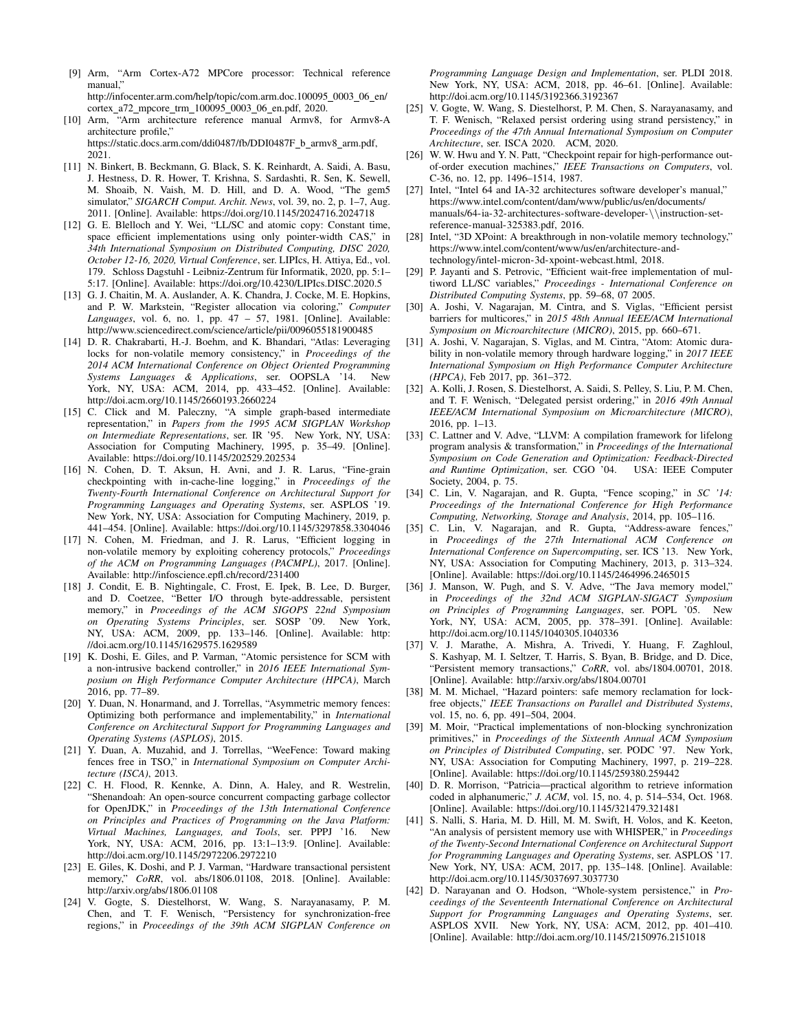[9] Arm, "Arm Cortex-A72 MPCore processor: Technical reference manual," http://infocenter.arm.com/help/topic/com.arm.doc.100095 0003 06 en/

cortex a72 mpcore trm 100095 0003 06 en.pdf, 2020.

[10] Arm, "Arm architecture reference manual Armv8, for Armv8-A architecture profile,"

https://static.docs.arm.com/ddi0487/fb/DDI0487F\_b\_armv8\_arm.pdf, 2021.

- [11] N. Binkert, B. Beckmann, G. Black, S. K. Reinhardt, A. Saidi, A. Basu, J. Hestness, D. R. Hower, T. Krishna, S. Sardashti, R. Sen, K. Sewell, M. Shoaib, N. Vaish, M. D. Hill, and D. A. Wood, "The gem5 simulator," *SIGARCH Comput. Archit. News*, vol. 39, no. 2, p. 1–7, Aug. 2011. [Online]. Available: https://doi.org/10.1145/2024716.2024718
- [12] G. E. Blelloch and Y. Wei, "LL/SC and atomic copy: Constant time, space efficient implementations using only pointer-width CAS," in *34th International Symposium on Distributed Computing, DISC 2020, October 12-16, 2020, Virtual Conference*, ser. LIPIcs, H. Attiya, Ed., vol. 179. Schloss Dagstuhl - Leibniz-Zentrum für Informatik, 2020, pp. 5:1– 5:17. [Online]. Available: https://doi.org/10.4230/LIPIcs.DISC.2020.5
- [13] G. J. Chaitin, M. A. Auslander, A. K. Chandra, J. Cocke, M. E. Hopkins, and P. W. Markstein, "Register allocation via coloring," *Computer Languages*, vol. 6, no. 1, pp. 47 – 57, 1981. [Online]. Available: http://www.sciencedirect.com/science/article/pii/0096055181900485
- [14] D. R. Chakrabarti, H.-J. Boehm, and K. Bhandari, "Atlas: Leveraging locks for non-volatile memory consistency," in *Proceedings of the 2014 ACM International Conference on Object Oriented Programming Systems Languages & Applications*, ser. OOPSLA '14. New York, NY, USA: ACM, 2014, pp. 433–452. [Online]. Available: http://doi.acm.org/10.1145/2660193.2660224
- [15] C. Click and M. Paleczny, "A simple graph-based intermediate representation," in *Papers from the 1995 ACM SIGPLAN Workshop on Intermediate Representations*, ser. IR '95. New York, NY, USA: Association for Computing Machinery, 1995, p. 35–49. [Online]. Available: https://doi.org/10.1145/202529.202534
- [16] N. Cohen, D. T. Aksun, H. Avni, and J. R. Larus, "Fine-grain checkpointing with in-cache-line logging," in *Proceedings of the Twenty-Fourth International Conference on Architectural Support for Programming Languages and Operating Systems*, ser. ASPLOS '19. New York, NY, USA: Association for Computing Machinery, 2019, p. 441–454. [Online]. Available: https://doi.org/10.1145/3297858.3304046
- [17] N. Cohen, M. Friedman, and J. R. Larus, "Efficient logging in non-volatile memory by exploiting coherency protocols," *Proceedings of the ACM on Programming Languages (PACMPL)*, 2017. [Online]. Available: http://infoscience.epfl.ch/record/231400
- [18] J. Condit, E. B. Nightingale, C. Frost, E. Ipek, B. Lee, D. Burger, and D. Coetzee, "Better I/O through byte-addressable, persistent memory," in *Proceedings of the ACM SIGOPS 22nd Symposium on Operating Systems Principles*, ser. SOSP '09. New York, NY, USA: ACM, 2009, pp. 133–146. [Online]. Available: http: //doi.acm.org/10.1145/1629575.1629589
- [19] K. Doshi, E. Giles, and P. Varman, "Atomic persistence for SCM with a non-intrusive backend controller," in *2016 IEEE International Symposium on High Performance Computer Architecture (HPCA)*, March 2016, pp. 77–89.
- [20] Y. Duan, N. Honarmand, and J. Torrellas, "Asymmetric memory fences: Optimizing both performance and implementability," in *International Conference on Architectural Support for Programming Languages and Operating Systems (ASPLOS)*, 2015.
- [21] Y. Duan, A. Muzahid, and J. Torrellas, "WeeFence: Toward making fences free in TSO," in *International Symposium on Computer Architecture (ISCA)*, 2013.
- [22] C. H. Flood, R. Kennke, A. Dinn, A. Haley, and R. Westrelin, "Shenandoah: An open-source concurrent compacting garbage collector for OpenJDK," in *Proceedings of the 13th International Conference on Principles and Practices of Programming on the Java Platform: Virtual Machines, Languages, and Tools*, ser. PPPJ '16. New York, NY, USA: ACM, 2016, pp. 13:1–13:9. [Online]. Available: http://doi.acm.org/10.1145/2972206.2972210
- [23] E. Giles, K. Doshi, and P. J. Varman, "Hardware transactional persistent memory," *CoRR*, vol. abs/1806.01108, 2018. [Online]. Available: http://arxiv.org/abs/1806.01108
- [24] V. Gogte, S. Diestelhorst, W. Wang, S. Narayanasamy, P. M. Chen, and T. F. Wenisch, "Persistency for synchronization-free regions," in *Proceedings of the 39th ACM SIGPLAN Conference on*

*Programming Language Design and Implementation*, ser. PLDI 2018. New York, NY, USA: ACM, 2018, pp. 46–61. [Online]. Available: http://doi.acm.org/10.1145/3192366.3192367

- [25] V. Gogte, W. Wang, S. Diestelhorst, P. M. Chen, S. Narayanasamy, and T. F. Wenisch, "Relaxed persist ordering using strand persistency," in *Proceedings of the 47th Annual International Symposium on Computer Architecture*, ser. ISCA 2020. ACM, 2020.
- [26] W. W. Hwu and Y. N. Patt, "Checkpoint repair for high-performance outof-order execution machines," *IEEE Transactions on Computers*, vol. C-36, no. 12, pp. 1496–1514, 1987.
- [27] Intel, "Intel 64 and IA-32 architectures software developer's manual," https://www.intel.com/content/dam/www/public/us/en/documents/ manuals/64-ia-32-architectures-software-developer-\\instruction-setreference-manual-325383.pdf, 2016.
- [28] Intel, "3D XPoint: A breakthrough in non-volatile memory technology," https://www.intel.com/content/www/us/en/architecture-andtechnology/intel-micron-3d-xpoint-webcast.html, 2018.
- [29] P. Jayanti and S. Petrovic, "Efficient wait-free implementation of multiword LL/SC variables," *Proceedings - International Conference on Distributed Computing Systems*, pp. 59–68, 07 2005.
- [30] A. Joshi, V. Nagarajan, M. Cintra, and S. Viglas, "Efficient persist barriers for multicores," in *2015 48th Annual IEEE/ACM International Symposium on Microarchitecture (MICRO)*, 2015, pp. 660–671.
- [31] A. Joshi, V. Nagarajan, S. Viglas, and M. Cintra, "Atom: Atomic durability in non-volatile memory through hardware logging," in *2017 IEEE International Symposium on High Performance Computer Architecture (HPCA)*, Feb 2017, pp. 361–372.
- [32] A. Kolli, J. Rosen, S. Diestelhorst, A. Saidi, S. Pelley, S. Liu, P. M. Chen, and T. F. Wenisch, "Delegated persist ordering," in *2016 49th Annual IEEE/ACM International Symposium on Microarchitecture (MICRO)*, 2016, pp. 1–13.
- [33] C. Lattner and V. Adve, "LLVM: A compilation framework for lifelong program analysis & transformation," in *Proceedings of the International Symposium on Code Generation and Optimization: Feedback-Directed and Runtime Optimization*, ser. CGO '04. Society, 2004, p. 75.
- [34] C. Lin, V. Nagarajan, and R. Gupta, "Fence scoping," in *SC '14: Proceedings of the International Conference for High Performance Computing, Networking, Storage and Analysis*, 2014, pp. 105–116.
- [35] C. Lin, V. Nagarajan, and R. Gupta, "Address-aware fences," in *Proceedings of the 27th International ACM Conference on International Conference on Supercomputing*, ser. ICS '13. New York, NY, USA: Association for Computing Machinery, 2013, p. 313–324. [Online]. Available: https://doi.org/10.1145/2464996.2465015
- [36] J. Manson, W. Pugh, and S. V. Adve, "The Java memory model," in *Proceedings of the 32nd ACM SIGPLAN-SIGACT Symposium on Principles of Programming Languages*, ser. POPL '05. New York, NY, USA: ACM, 2005, pp. 378–391. [Online]. Available: http://doi.acm.org/10.1145/1040305.1040336
- [37] V. J. Marathe, A. Mishra, A. Trivedi, Y. Huang, F. Zaghloul, S. Kashyap, M. I. Seltzer, T. Harris, S. Byan, B. Bridge, and D. Dice, "Persistent memory transactions," *CoRR*, vol. abs/1804.00701, 2018. [Online]. Available: http://arxiv.org/abs/1804.00701
- [38] M. M. Michael, "Hazard pointers: safe memory reclamation for lockfree objects," *IEEE Transactions on Parallel and Distributed Systems*, vol. 15, no. 6, pp. 491–504, 2004.
- [39] M. Moir, "Practical implementations of non-blocking synchronization primitives," in *Proceedings of the Sixteenth Annual ACM Symposium on Principles of Distributed Computing*, ser. PODC '97. New York, NY, USA: Association for Computing Machinery, 1997, p. 219–228. [Online]. Available: https://doi.org/10.1145/259380.259442
- [40] D. R. Morrison, "Patricia—practical algorithm to retrieve information coded in alphanumeric," *J. ACM*, vol. 15, no. 4, p. 514–534, Oct. 1968. [Online]. Available: https://doi.org/10.1145/321479.321481
- [41] S. Nalli, S. Haria, M. D. Hill, M. M. Swift, H. Volos, and K. Keeton, "An analysis of persistent memory use with WHISPER," in *Proceedings of the Twenty-Second International Conference on Architectural Support for Programming Languages and Operating Systems*, ser. ASPLOS '17. New York, NY, USA: ACM, 2017, pp. 135–148. [Online]. Available: http://doi.acm.org/10.1145/3037697.3037730
- [42] D. Narayanan and O. Hodson, "Whole-system persistence," in *Proceedings of the Seventeenth International Conference on Architectural Support for Programming Languages and Operating Systems*, ser. ASPLOS XVII. New York, NY, USA: ACM, 2012, pp. 401–410. [Online]. Available: http://doi.acm.org/10.1145/2150976.2151018